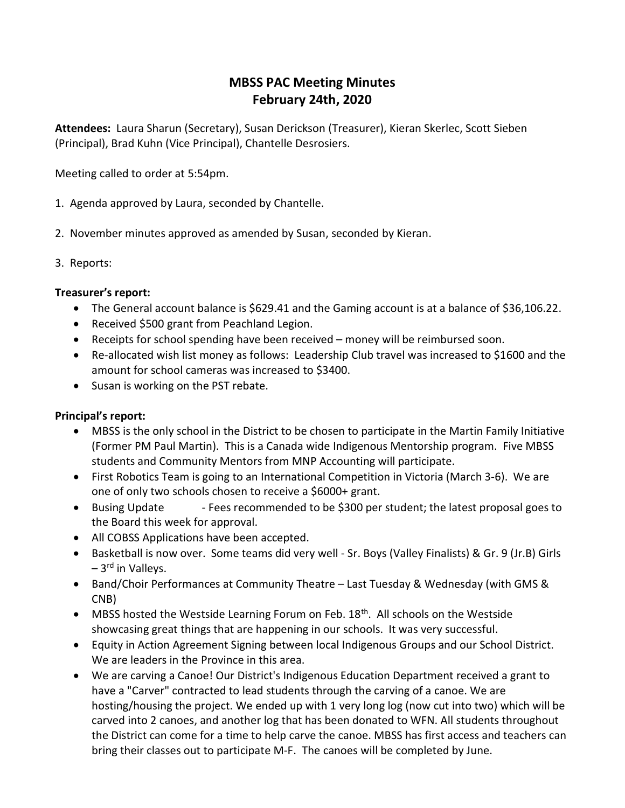# MBSS PAC Meeting Minutes February 24th, 2020

Attendees: Laura Sharun (Secretary), Susan Derickson (Treasurer), Kieran Skerlec, Scott Sieben (Principal), Brad Kuhn (Vice Principal), Chantelle Desrosiers.

Meeting called to order at 5:54pm.

- 1. Agenda approved by Laura, seconded by Chantelle.
- 2. November minutes approved as amended by Susan, seconded by Kieran.
- 3. Reports:

# Treasurer's report:

- The General account balance is \$629.41 and the Gaming account is at a balance of \$36,106.22.
- Received \$500 grant from Peachland Legion.
- Receipts for school spending have been received money will be reimbursed soon.
- Re-allocated wish list money as follows: Leadership Club travel was increased to \$1600 and the amount for school cameras was increased to \$3400.
- Susan is working on the PST rebate.

### Principal's report:

- MBSS is the only school in the District to be chosen to participate in the Martin Family Initiative (Former PM Paul Martin). This is a Canada wide Indigenous Mentorship program. Five MBSS students and Community Mentors from MNP Accounting will participate.
- First Robotics Team is going to an International Competition in Victoria (March 3-6). We are one of only two schools chosen to receive a \$6000+ grant.
- Busing Update Fees recommended to be \$300 per student; the latest proposal goes to the Board this week for approval.
- All COBSS Applications have been accepted.
- Basketball is now over. Some teams did very well Sr. Boys (Valley Finalists) & Gr. 9 (Jr.B) Girls  $-3<sup>rd</sup>$  in Vallevs.
- Band/Choir Performances at Community Theatre Last Tuesday & Wednesday (with GMS & CNB)
- $\bullet$  MBSS hosted the Westside Learning Forum on Feb. 18<sup>th</sup>. All schools on the Westside showcasing great things that are happening in our schools. It was very successful.
- Equity in Action Agreement Signing between local Indigenous Groups and our School District. We are leaders in the Province in this area.
- We are carving a Canoe! Our District's Indigenous Education Department received a grant to have a "Carver" contracted to lead students through the carving of a canoe. We are hosting/housing the project. We ended up with 1 very long log (now cut into two) which will be carved into 2 canoes, and another log that has been donated to WFN. All students throughout the District can come for a time to help carve the canoe. MBSS has first access and teachers can bring their classes out to participate M-F. The canoes will be completed by June.